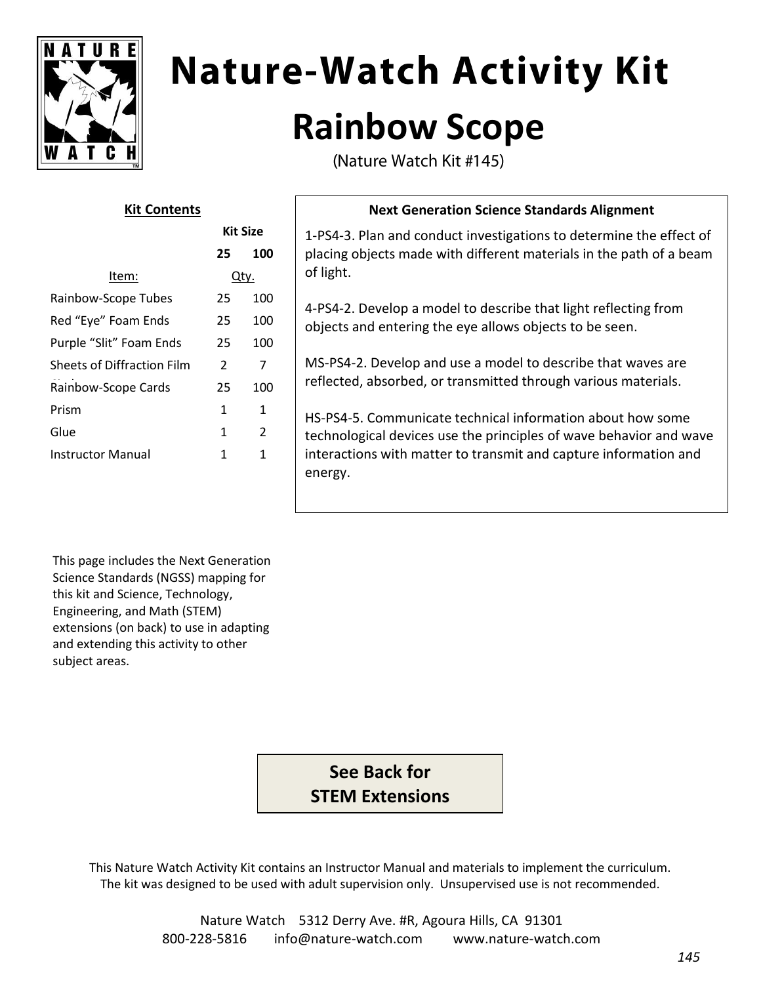

# **Nature-Watch Activity Kit Rainbow Scope**

(Nature Watch Kit #145)

| גונ כטוונכוונ              |                 |               |
|----------------------------|-----------------|---------------|
|                            | <b>Kit Size</b> |               |
|                            | 25              | 100           |
| Item:                      | Qtv.            |               |
| Rainbow-Scope Tubes        | 25              | 100           |
| Red "Eye" Foam Ends        | 25              | 100           |
| Purple "Slit" Foam Ends    | 25              | 100           |
| Sheets of Diffraction Film | 2               | 7             |
| Rainbow-Scope Cards        | 25              | 100           |
| Prism                      | 1               | 1             |
| Glue                       | 1               | $\mathcal{P}$ |
| Instructor Manual          | 1               | 1             |
|                            |                 |               |

**Kit Contents**

#### **Next Generation Science Standards Alignment**

1-PS4-3. Plan and conduct investigations to determine the effect of placing objects made with different materials in the path of a beam of light.

4-PS4-2. Develop a model to describe that light reflecting from objects and entering the eye allows objects to be seen.

MS-PS4-2. Develop and use a model to describe that waves are reflected, absorbed, or transmitted through various materials.

HS-PS4-5. Communicate technical information about how some technological devices use the principles of wave behavior and wave interactions with matter to transmit and capture information and energy.

This page includes the Next Generation Science Standards (NGSS) mapping for this kit and Science, Technology, Engineering, and Math (STEM) extensions (on back) to use in adapting and extending this activity to other subject areas.

> **See Back for STEM Extensions**

This Nature Watch Activity Kit contains an Instructor Manual and materials to implement the curriculum. The kit was designed to be used with adult supervision only. Unsupervised use is not recommended.